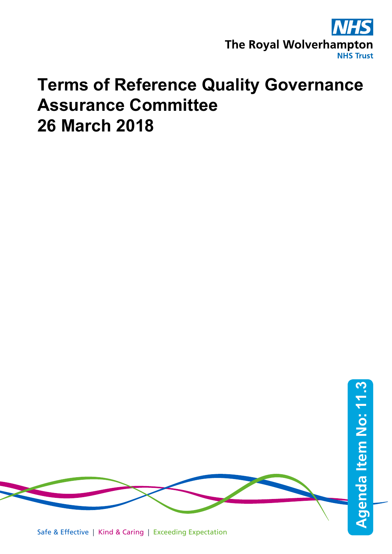

## **Terms of Reference Quality Governance Assurance Committee 26 March 2018**

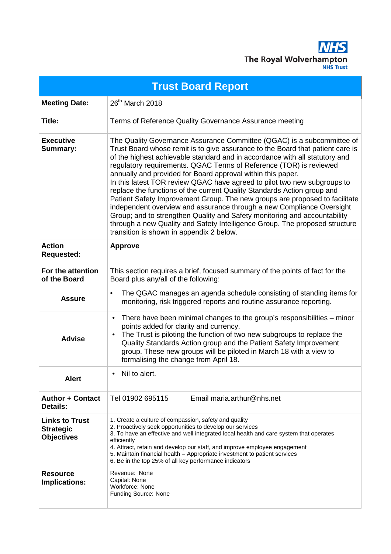

| <b>Trust Board Report</b>                                      |                                                                                                                                                                                                                                                                                                                                                                                                                                                                                                                                                                                                                                                                                                                                                                                                                                                                                                     |  |
|----------------------------------------------------------------|-----------------------------------------------------------------------------------------------------------------------------------------------------------------------------------------------------------------------------------------------------------------------------------------------------------------------------------------------------------------------------------------------------------------------------------------------------------------------------------------------------------------------------------------------------------------------------------------------------------------------------------------------------------------------------------------------------------------------------------------------------------------------------------------------------------------------------------------------------------------------------------------------------|--|
| <b>Meeting Date:</b>                                           | 26 <sup>th</sup> March 2018                                                                                                                                                                                                                                                                                                                                                                                                                                                                                                                                                                                                                                                                                                                                                                                                                                                                         |  |
| Title:                                                         | Terms of Reference Quality Governance Assurance meeting                                                                                                                                                                                                                                                                                                                                                                                                                                                                                                                                                                                                                                                                                                                                                                                                                                             |  |
| <b>Executive</b><br><b>Summary:</b>                            | The Quality Governance Assurance Committee (QGAC) is a subcommittee of<br>Trust Board whose remit is to give assurance to the Board that patient care is<br>of the highest achievable standard and in accordance with all statutory and<br>regulatory requirements. QGAC Terms of Reference (TOR) is reviewed<br>annually and provided for Board approval within this paper.<br>In this latest TOR review QGAC have agreed to pilot two new subgroups to<br>replace the functions of the current Quality Standards Action group and<br>Patient Safety Improvement Group. The new groups are proposed to facilitate<br>independent overview and assurance through a new Compliance Oversight<br>Group; and to strengthen Quality and Safety monitoring and accountability<br>through a new Quality and Safety Intelligence Group. The proposed structure<br>transition is shown in appendix 2 below. |  |
| <b>Action</b><br><b>Requested:</b>                             | <b>Approve</b>                                                                                                                                                                                                                                                                                                                                                                                                                                                                                                                                                                                                                                                                                                                                                                                                                                                                                      |  |
| For the attention<br>of the Board                              | This section requires a brief, focused summary of the points of fact for the<br>Board plus any/all of the following:                                                                                                                                                                                                                                                                                                                                                                                                                                                                                                                                                                                                                                                                                                                                                                                |  |
| <b>Assure</b>                                                  | The QGAC manages an agenda schedule consisting of standing items for<br>$\bullet$<br>monitoring, risk triggered reports and routine assurance reporting.                                                                                                                                                                                                                                                                                                                                                                                                                                                                                                                                                                                                                                                                                                                                            |  |
| <b>Advise</b>                                                  | There have been minimal changes to the group's responsibilities – minor<br>٠<br>points added for clarity and currency.<br>The Trust is piloting the function of two new subgroups to replace the<br>$\bullet$<br>Quality Standards Action group and the Patient Safety Improvement<br>group. These new groups will be piloted in March 18 with a view to<br>formalising the change from April 18.                                                                                                                                                                                                                                                                                                                                                                                                                                                                                                   |  |
| <b>Alert</b>                                                   | Nil to alert.                                                                                                                                                                                                                                                                                                                                                                                                                                                                                                                                                                                                                                                                                                                                                                                                                                                                                       |  |
| <b>Author + Contact</b><br><b>Details:</b>                     | Tel 01902 695115<br>Email maria.arthur@nhs.net                                                                                                                                                                                                                                                                                                                                                                                                                                                                                                                                                                                                                                                                                                                                                                                                                                                      |  |
| <b>Links to Trust</b><br><b>Strategic</b><br><b>Objectives</b> | 1. Create a culture of compassion, safety and quality<br>2. Proactively seek opportunities to develop our services<br>3. To have an effective and well integrated local health and care system that operates<br>efficiently<br>4. Attract, retain and develop our staff, and improve employee engagement<br>5. Maintain financial health - Appropriate investment to patient services<br>6. Be in the top 25% of all key performance indicators                                                                                                                                                                                                                                                                                                                                                                                                                                                     |  |
| <b>Resource</b><br><b>Implications:</b>                        | Revenue: None<br>Capital: None<br><b>Workforce: None</b><br>Funding Source: None                                                                                                                                                                                                                                                                                                                                                                                                                                                                                                                                                                                                                                                                                                                                                                                                                    |  |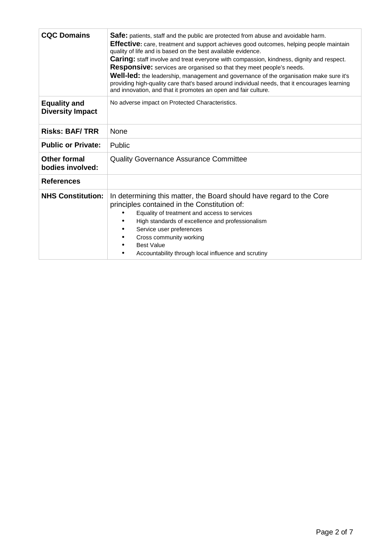| <b>CQC Domains</b>                             | <b>Safe:</b> patients, staff and the public are protected from abuse and avoidable harm.<br>Effective: care, treatment and support achieves good outcomes, helping people maintain<br>quality of life and is based on the best available evidence.<br><b>Caring:</b> staff involve and treat everyone with compassion, kindness, dignity and respect.<br>Responsive: services are organised so that they meet people's needs.<br>Well-led: the leadership, management and governance of the organisation make sure it's<br>providing high-quality care that's based around individual needs, that it encourages learning<br>and innovation, and that it promotes an open and fair culture. |
|------------------------------------------------|--------------------------------------------------------------------------------------------------------------------------------------------------------------------------------------------------------------------------------------------------------------------------------------------------------------------------------------------------------------------------------------------------------------------------------------------------------------------------------------------------------------------------------------------------------------------------------------------------------------------------------------------------------------------------------------------|
| <b>Equality and</b><br><b>Diversity Impact</b> | No adverse impact on Protected Characteristics.                                                                                                                                                                                                                                                                                                                                                                                                                                                                                                                                                                                                                                            |
| <b>Risks: BAF/TRR</b>                          | None                                                                                                                                                                                                                                                                                                                                                                                                                                                                                                                                                                                                                                                                                       |
| <b>Public or Private:</b>                      | Public                                                                                                                                                                                                                                                                                                                                                                                                                                                                                                                                                                                                                                                                                     |
| Other formal<br>bodies involved:               | <b>Quality Governance Assurance Committee</b>                                                                                                                                                                                                                                                                                                                                                                                                                                                                                                                                                                                                                                              |
| <b>References</b>                              |                                                                                                                                                                                                                                                                                                                                                                                                                                                                                                                                                                                                                                                                                            |
| <b>NHS Constitution:</b>                       | In determining this matter, the Board should have regard to the Core<br>principles contained in the Constitution of:<br>Equality of treatment and access to services<br>High standards of excellence and professionalism<br>Service user preferences<br>Cross community working<br><b>Best Value</b><br>Accountability through local influence and scrutiny                                                                                                                                                                                                                                                                                                                                |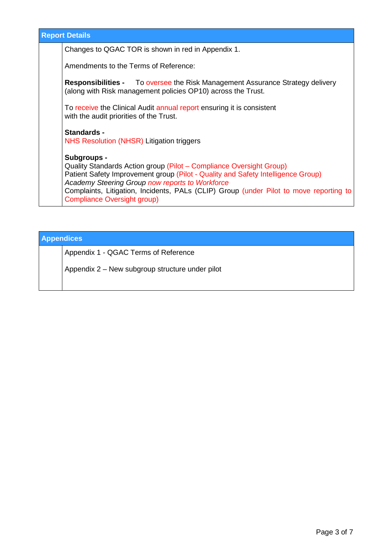| <b>Report Details</b> |                                                                                                                                                                                                                                                                                                                                                    |  |
|-----------------------|----------------------------------------------------------------------------------------------------------------------------------------------------------------------------------------------------------------------------------------------------------------------------------------------------------------------------------------------------|--|
|                       | Changes to QGAC TOR is shown in red in Appendix 1.                                                                                                                                                                                                                                                                                                 |  |
|                       | Amendments to the Terms of Reference:                                                                                                                                                                                                                                                                                                              |  |
|                       | <b>Responsibilities -</b> To oversee the Risk Management Assurance Strategy delivery<br>(along with Risk management policies OP10) across the Trust.                                                                                                                                                                                               |  |
|                       | To receive the Clinical Audit annual report ensuring it is consistent<br>with the audit priorities of the Trust.                                                                                                                                                                                                                                   |  |
|                       | <b>Standards -</b><br>NHS Resolution (NHSR) Litigation triggers                                                                                                                                                                                                                                                                                    |  |
|                       | Subgroups -<br>Quality Standards Action group (Pilot – Compliance Oversight Group)<br>Patient Safety Improvement group (Pilot - Quality and Safety Intelligence Group)<br>Academy Steering Group now reports to Workforce<br>Complaints, Litigation, Incidents, PALs (CLIP) Group (under Pilot to move reporting to<br>Compliance Oversight group) |  |

## **Appendices**

Appendix 1 - QGAC Terms of Reference

Appendix 2 – New subgroup structure under pilot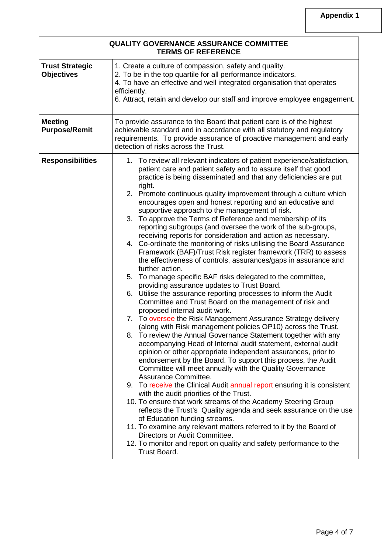| <b>QUALITY GOVERNANCE ASSURANCE COMMITTEE</b><br><b>TERMS OF REFERENCE</b> |                                                                                                                                                                                                                                                                                                                                                                                                                                                                                                                                                                                                                                                                                                                                                                                                                                                                                                                                                                                                                                                                                                                                                                                                                                                                                                                                                                                                                                                                                                                                                                                                                                                                                                                                                                                                                                                                                                                                                                                                                                                                                                                |  |
|----------------------------------------------------------------------------|----------------------------------------------------------------------------------------------------------------------------------------------------------------------------------------------------------------------------------------------------------------------------------------------------------------------------------------------------------------------------------------------------------------------------------------------------------------------------------------------------------------------------------------------------------------------------------------------------------------------------------------------------------------------------------------------------------------------------------------------------------------------------------------------------------------------------------------------------------------------------------------------------------------------------------------------------------------------------------------------------------------------------------------------------------------------------------------------------------------------------------------------------------------------------------------------------------------------------------------------------------------------------------------------------------------------------------------------------------------------------------------------------------------------------------------------------------------------------------------------------------------------------------------------------------------------------------------------------------------------------------------------------------------------------------------------------------------------------------------------------------------------------------------------------------------------------------------------------------------------------------------------------------------------------------------------------------------------------------------------------------------------------------------------------------------------------------------------------------------|--|
| <b>Trust Strategic</b><br><b>Objectives</b>                                | 1. Create a culture of compassion, safety and quality.<br>2. To be in the top quartile for all performance indicators.<br>4. To have an effective and well integrated organisation that operates<br>efficiently.<br>6. Attract, retain and develop our staff and improve employee engagement.                                                                                                                                                                                                                                                                                                                                                                                                                                                                                                                                                                                                                                                                                                                                                                                                                                                                                                                                                                                                                                                                                                                                                                                                                                                                                                                                                                                                                                                                                                                                                                                                                                                                                                                                                                                                                  |  |
| <b>Meeting</b><br><b>Purpose/Remit</b>                                     | To provide assurance to the Board that patient care is of the highest<br>achievable standard and in accordance with all statutory and regulatory<br>requirements. To provide assurance of proactive management and early<br>detection of risks across the Trust.                                                                                                                                                                                                                                                                                                                                                                                                                                                                                                                                                                                                                                                                                                                                                                                                                                                                                                                                                                                                                                                                                                                                                                                                                                                                                                                                                                                                                                                                                                                                                                                                                                                                                                                                                                                                                                               |  |
| <b>Responsibilities</b>                                                    | 1. To review all relevant indicators of patient experience/satisfaction,<br>patient care and patient safety and to assure itself that good<br>practice is being disseminated and that any deficiencies are put<br>right.<br>2. Promote continuous quality improvement through a culture which<br>encourages open and honest reporting and an educative and<br>supportive approach to the management of risk.<br>3. To approve the Terms of Reference and membership of its<br>reporting subgroups (and oversee the work of the sub-groups,<br>receiving reports for consideration and action as necessary.<br>4. Co-ordinate the monitoring of risks utilising the Board Assurance<br>Framework (BAF)/Trust Risk register framework (TRR) to assess<br>the effectiveness of controls, assurances/gaps in assurance and<br>further action.<br>5. To manage specific BAF risks delegated to the committee,<br>providing assurance updates to Trust Board.<br>6. Utilise the assurance reporting processes to inform the Audit<br>Committee and Trust Board on the management of risk and<br>proposed internal audit work.<br>7. To oversee the Risk Management Assurance Strategy delivery<br>(along with Risk management policies OP10) across the Trust.<br>8.<br>To review the Annual Governance Statement together with any<br>accompanying Head of Internal audit statement, external audit<br>opinion or other appropriate independent assurances, prior to<br>endorsement by the Board. To support this process, the Audit<br>Committee will meet annually with the Quality Governance<br>Assurance Committee.<br>9. To receive the Clinical Audit annual report ensuring it is consistent<br>with the audit priorities of the Trust.<br>10. To ensure that work streams of the Academy Steering Group<br>reflects the Trust's Quality agenda and seek assurance on the use<br>of Education funding streams.<br>11. To examine any relevant matters referred to it by the Board of<br>Directors or Audit Committee.<br>12. To monitor and report on quality and safety performance to the<br>Trust Board. |  |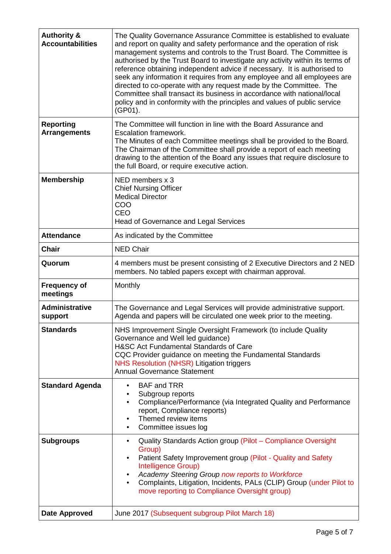| <b>Authority &amp;</b><br><b>Accountabilities</b> | The Quality Governance Assurance Committee is established to evaluate<br>and report on quality and safety performance and the operation of risk<br>management systems and controls to the Trust Board. The Committee is<br>authorised by the Trust Board to investigate any activity within its terms of<br>reference obtaining independent advice if necessary. It is authorised to<br>seek any information it requires from any employee and all employees are<br>directed to co-operate with any request made by the Committee. The<br>Committee shall transact its business in accordance with national/local<br>policy and in conformity with the principles and values of public service<br>(GP01). |
|---------------------------------------------------|-----------------------------------------------------------------------------------------------------------------------------------------------------------------------------------------------------------------------------------------------------------------------------------------------------------------------------------------------------------------------------------------------------------------------------------------------------------------------------------------------------------------------------------------------------------------------------------------------------------------------------------------------------------------------------------------------------------|
| <b>Reporting</b><br><b>Arrangements</b>           | The Committee will function in line with the Board Assurance and<br><b>Escalation framework.</b><br>The Minutes of each Committee meetings shall be provided to the Board.<br>The Chairman of the Committee shall provide a report of each meeting<br>drawing to the attention of the Board any issues that require disclosure to<br>the full Board, or require executive action.                                                                                                                                                                                                                                                                                                                         |
| <b>Membership</b>                                 | NED members x 3<br><b>Chief Nursing Officer</b><br><b>Medical Director</b><br>COO<br><b>CEO</b><br>Head of Governance and Legal Services                                                                                                                                                                                                                                                                                                                                                                                                                                                                                                                                                                  |
| <b>Attendance</b>                                 | As indicated by the Committee                                                                                                                                                                                                                                                                                                                                                                                                                                                                                                                                                                                                                                                                             |
| <b>Chair</b>                                      | <b>NED Chair</b>                                                                                                                                                                                                                                                                                                                                                                                                                                                                                                                                                                                                                                                                                          |
| Quorum                                            | 4 members must be present consisting of 2 Executive Directors and 2 NED<br>members. No tabled papers except with chairman approval.                                                                                                                                                                                                                                                                                                                                                                                                                                                                                                                                                                       |
| <b>Frequency of</b><br>meetings                   | Monthly                                                                                                                                                                                                                                                                                                                                                                                                                                                                                                                                                                                                                                                                                                   |
| <b>Administrative</b><br>support                  | The Governance and Legal Services will provide administrative support.<br>Agenda and papers will be circulated one week prior to the meeting.                                                                                                                                                                                                                                                                                                                                                                                                                                                                                                                                                             |
| <b>Standards</b>                                  | NHS Improvement Single Oversight Framework (to include Quality<br>Governance and Well led guidance)<br>H&SC Act Fundamental Standards of Care<br>CQC Provider guidance on meeting the Fundamental Standards<br>NHS Resolution (NHSR) Litigation triggers<br><b>Annual Governance Statement</b>                                                                                                                                                                                                                                                                                                                                                                                                            |
| <b>Standard Agenda</b>                            | <b>BAF and TRR</b><br>$\bullet$<br>Subgroup reports<br>٠<br>Compliance/Performance (via Integrated Quality and Performance<br>$\bullet$<br>report, Compliance reports)<br>Themed review items<br>Committee issues log<br>$\bullet$                                                                                                                                                                                                                                                                                                                                                                                                                                                                        |
| <b>Subgroups</b>                                  | Quality Standards Action group (Pilot - Compliance Oversight<br>$\bullet$<br>Group)<br>Patient Safety Improvement group (Pilot - Quality and Safety<br>$\bullet$<br>Intelligence Group)<br>Academy Steering Group now reports to Workforce<br>Complaints, Litigation, Incidents, PALs (CLIP) Group (under Pilot to<br>$\bullet$<br>move reporting to Compliance Oversight group)                                                                                                                                                                                                                                                                                                                          |
| <b>Date Approved</b>                              | June 2017 (Subsequent subgroup Pilot March 18)                                                                                                                                                                                                                                                                                                                                                                                                                                                                                                                                                                                                                                                            |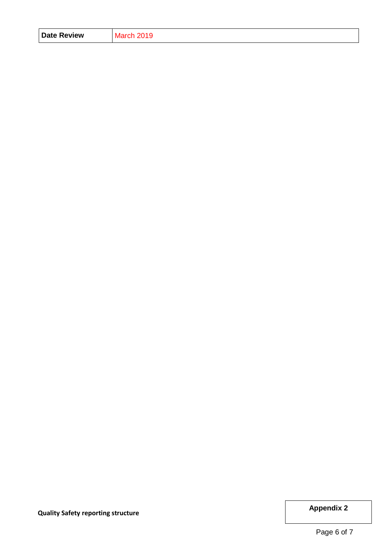| <b>Date Review</b> | 2019<br><b>March</b> |
|--------------------|----------------------|
|--------------------|----------------------|

**Dependix Appendix 2 Appendix 2**